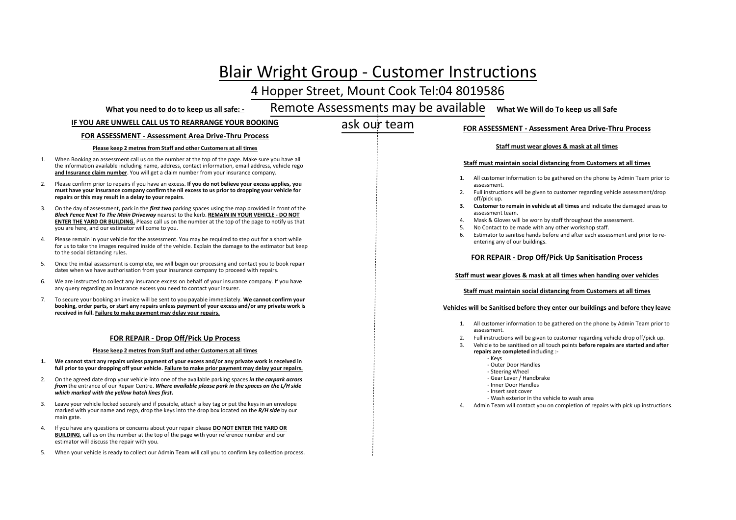# Blair Wright Group ‐ Customer Instructions

# 4 Hopper Street, Mount Cook Tel:04 <sup>8019586</sup>

### **What you need to do to keep us all safe: ‐**

#### Remote Assessments may be available**What We Will do To keep us all Safe**

### **IF YOU ARE UNWELL CALL US TO REARRANGE YOUR BOOKING**

# ask our team

# **FOR ASSESSMENT ‐ Assessment Area Drive‐Thru Process**

### **FOR ASSESSMENT ‐ Assessment Area Drive‐Thru Process**

#### **Please keep 2 metres from Staff and other Customers at all times**

- 1. When Booking an assessment call us on the number at the top of the page. Make sure you have all the information available including name, address, contact information, email address, vehicle rego **and Insurance claim number**. You will get <sup>a</sup> claim number from your insurance company.
- 2. Please confirm prior to repairs if you have an excess. **If you do not believe your excess applies, you** must have your insurance company confirm the nil excess to us prior to dropping your vehicle for **repairs or this may result in <sup>a</sup> delay to your repairs**.
- 3. On the day of assessment, park in the *first two* parking spaces using the map provided in front of the *Black Fence Next To The Main Driveway* nearest to the kerb. **REMAIN IN YOUR VEHICLE ‐ DO NOT ENTER THE YARD OR BUILDING.** Please call us on the number at the top of the page to notify us that you are here, and our estimator will come to you.
- 4. Please remain in your vehicle for the assessment. You may be required to step out for <sup>a</sup> short while for us to take the images required inside of the vehicle. Explain the damage to the estimator but keep to the social distancing rules.
- 5. Once the initial assessment is complete, we will begin our processing and contact you to book repair dates when we have authorisation from your insurance company to proceed with repairs.
- 6. We are instructed to collect any insurance excess on behalf of your insurance company. If you have any query regarding an insurance excess you need to contact your insurer.
- 7. To secure your booking an invoice will be sent to you payable immediately. **We cannot confirm your booking, order parts, or start any repairs unless payment of your excess and/or any private work is received in full. Failure to make payment may delay your repairs.**

### **FOR REPAIR ‐ Drop Off/Pick Up Process**

#### **Please keep 2 metres from Staff and other Customers at all times**

- **1. We cannotstart any repairs unless payment of your excess and/or any private work is received in full prior to your dropping off your vehicle. Failure to make prior payment may delay your repairs.**
- 2. On the agreed date drop your vehicle into one of the available parking spaces *in the carpark across from* the entrance of our Repair Centre. *Where available please park in the spaces on the L/H side which marked with the yellow hatch lines first.*
- 3. Leave your vehicle locked securely and if possible, attach <sup>a</sup> key tag or put the keys in an envelope marked with your name and rego, drop the keys into the drop box located on the *R/H side* by our main gate.
- 4. If you have any questions or concerns about your repair please **DO NOT ENTER THE YARD OR BUILDING**, call us on the number at the top of the page with your reference number and our estimator will discuss the repair with you.
- 5. When your vehicle is ready to collect our Admin Team will call you to confirm key collection process.

## **Staff must wear gloves & mask at all times**

#### **Staff must maintain social distancing from Customers at all times**

- 1. All customer information to be gathered on the phone by Admin Team prior to assessment.
- 2. Full instructions will be given to customer regarding vehicle assessment/drop off/pick up.
- **3. Customer to remain in vehicle at all times** and indicate the damaged areas to assessment team.
- 4. Mask & Gloves will be worn by staff throughout the assessment.
- 5. No Contact to be made with any other workshop staff.
- 6. Estimator to sanitise hands before and after each assessment and prior to re‐ entering any of our buildings.

### **FOR REPAIR ‐ Drop Off/Pick Up Sanitisation Process**

#### **Staff must wear gloves & mask at all times when handing over vehicles**

#### **Staff must maintain social distancing from Customers at all times**

#### **Vehicles will be Sanitised before they enter our buildings and before they leave**

- 1. All customer information to be gathered on the phone by Admin Team prior to assessment.
- 2. Full instructions will be given to customer regarding vehicle drop off/pick up.
- 3. Vehicle to be sanitised on all touch points **before repairs are started and after repairs are completed** including :‐
	- ‐ Keys
	- ‐ Outer Door Handles
	- ‐ Steering Wheel
	- ‐ Gear Lever / Handbrake
	- ‐ Inner Door Handles
	- ‐ Insert seat cover
	- ‐ Wash exterior in the vehicle to wash area
- 4. Admin Team will contact you on completion of repairs with pick up instructions.